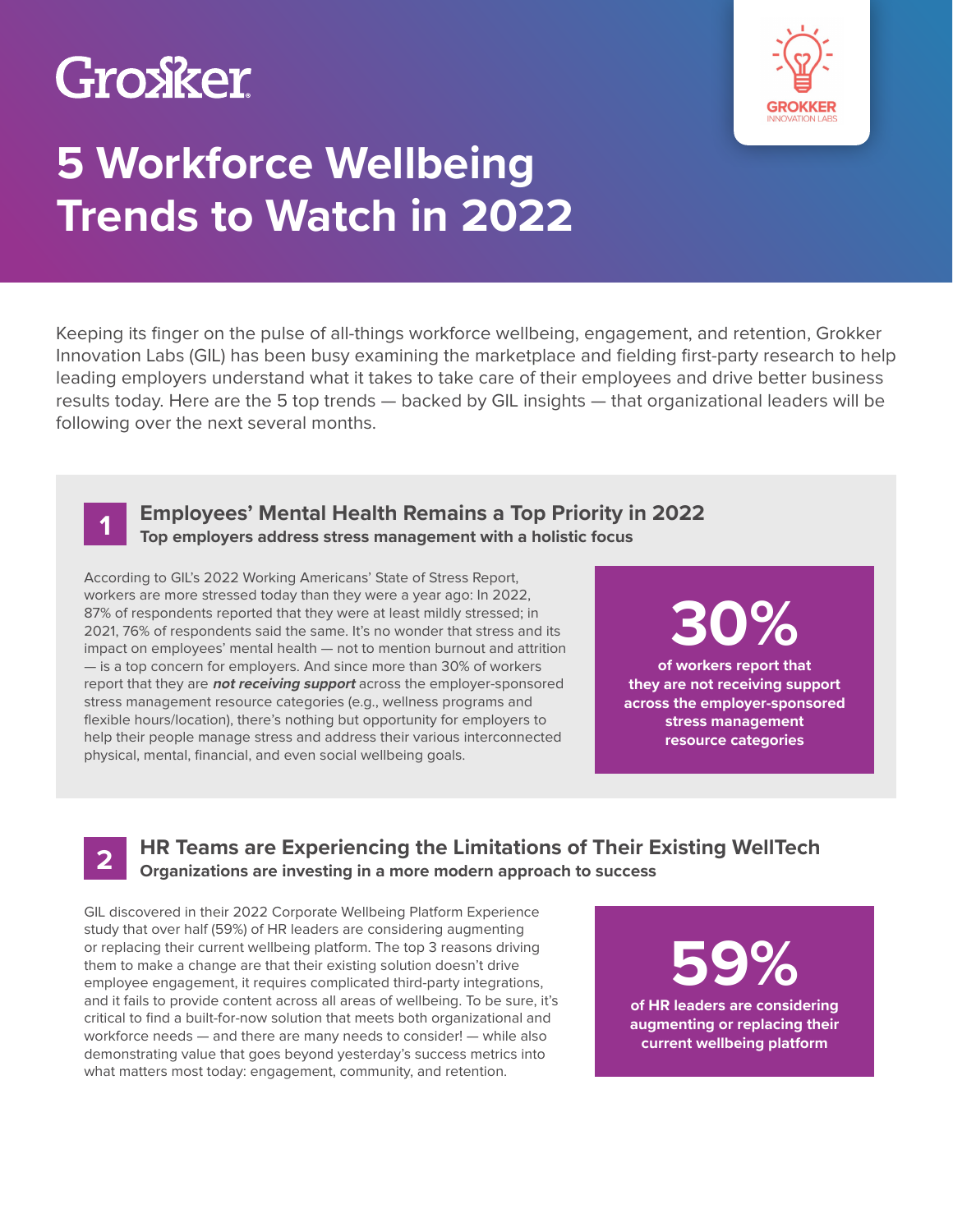### Groxker



### **5 Workforce Wellbeing Trends to Watch in 2022**

Keeping its finger on the pulse of all-things workforce wellbeing, engagement, and retention, Grokker Innovation Labs (GIL) has been busy examining the marketplace and fielding first-party research to help leading employers understand what it takes to take care of their employees and drive better business results today. Here are the 5 top trends — backed by GIL insights — that organizational leaders will be following over the next several months.



**2**

#### **Employees' Mental Health Remains a Top Priority in 2022 Top employers address stress management with a holistic focus**

According to GIL's 2022 Working Americans' State of Stress Report, workers are more stressed today than they were a year ago: In 2022, 87% of respondents reported that they were at least mildly stressed; in 2021, 76% of respondents said the same. It's no wonder that stress and its impact on employees' mental health — not to mention burnout and attrition — is a top concern for employers. And since more than 30% of workers report that they are **not receiving support** across the employer-sponsored stress management resource categories (e.g., wellness programs and flexible hours/location), there's nothing but opportunity for employers to help their people manage stress and address their various interconnected physical, mental, financial, and even social wellbeing goals.

## **30%**

**of workers report that they are not receiving support across the employer-sponsored stress management resource categories** 

**HR Teams are Experiencing the Limitations of Their Existing WellTech Organizations are investing in a more modern approach to success**

GIL discovered in their 2022 Corporate Wellbeing Platform Experience study that over half (59%) of HR leaders are considering augmenting or replacing their current wellbeing platform. The top 3 reasons driving them to make a change are that their existing solution doesn't drive employee engagement, it requires complicated third-party integrations, and it fails to provide content across all areas of wellbeing. To be sure, it's critical to find a built-for-now solution that meets both organizational and workforce needs — and there are many needs to consider! — while also demonstrating value that goes beyond yesterday's success metrics into what matters most today: engagement, community, and retention.

**59%**

**of HR leaders are considering augmenting or replacing their current wellbeing platform**